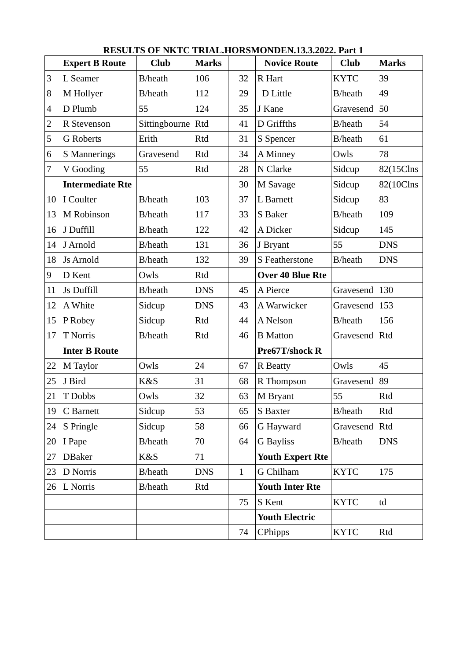|                | <b>Expert B Route</b>   | <b>Club</b>     | <b>Marks</b> |              | <b>Novice Route</b>     | <b>Club</b>     | <b>Marks</b> |
|----------------|-------------------------|-----------------|--------------|--------------|-------------------------|-----------------|--------------|
| 3              | L Seamer                | <b>B</b> /heath | 106          | 32           | R Hart                  | <b>KYTC</b>     | 39           |
| 8              | M Hollyer               | <b>B</b> /heath | 112          | 29           | D Little                | B/heath         | 49           |
| $\overline{4}$ | D Plumb                 | 55              | 124          | 35           | J Kane                  | Gravesend       | 50           |
| $\overline{c}$ | R Stevenson             | Sittingbourne   | Rtd          | 41           | D Griffths              | B/heath         | 54           |
| 5              | <b>G</b> Roberts        | Erith           | Rtd          | 31           | S Spencer               | <b>B</b> /heath | 61           |
| 6              | S Mannerings            | Gravesend       | Rtd          | 34           | A Minney                | Owls            | 78           |
| 7              | V Gooding               | 55              | Rtd          | 28           | N Clarke                | Sidcup          | 82(15Clns    |
|                | <b>Intermediate Rte</b> |                 |              | 30           | M Savage                | Sidcup          | 82(10Clns    |
| 10             | I Coulter               | <b>B</b> /heath | 103          | 37           | L Barnett               | Sidcup          | 83           |
| 13             | M Robinson              | <b>B</b> /heath | 117          | 33           | S Baker                 | B/heath         | 109          |
| 16             | J Duffill               | B/heath         | 122          | 42           | A Dicker                | Sidcup          | 145          |
| 14             | J Arnold                | <b>B</b> /heath | 131          | 36           | J Bryant                | 55              | <b>DNS</b>   |
| 18             | <b>Js Arnold</b>        | B/heath         | 132          | 39           | S Featherstone          | B/heath         | <b>DNS</b>   |
| 9              | D Kent                  | Owls            | Rtd          |              | <b>Over 40 Blue Rte</b> |                 |              |
| 11             | Js Duffill              | B/heath         | <b>DNS</b>   | 45           | A Pierce                | Gravesend       | 130          |
| 12             | A White                 | Sidcup          | <b>DNS</b>   | 43           | A Warwicker             | Gravesend       | 153          |
| 15             | P Robey                 | Sidcup          | Rtd          | 44           | A Nelson                | B/heath         | 156          |
| 17             | T Norris                | B/heath         | Rtd          | 46           | <b>B</b> Matton         | Gravesend       | Rtd          |
|                | <b>Inter B Route</b>    |                 |              |              | Pre67T/shock R          |                 |              |
| 22             | M Taylor                | Owls            | 24           | 67           | <b>R</b> Beatty         | Owls            | 45           |
| 25             | J Bird                  | K&S             | 31           | 68           | R Thompson              | Gravesend       | 89           |
| 21             | T Dobbs                 | Owls            | 32           | 63           | M Bryant                | 55              | Rtd          |
| 19             | C Barnett               | Sidcup          | 53           | 65           | S Baxter                | <b>B</b> /heath | Rtd          |
| 24             | S Pringle               | Sidcup          | 58           | 66           | G Hayward               | Gravesend       | Rtd          |
| 20             | I Pape                  | <b>B</b> /heath | 70           | 64           | <b>G</b> Bayliss        | <b>B</b> /heath | <b>DNS</b>   |
| 27             | <b>DBaker</b>           | K&S             | 71           |              | <b>Youth Expert Rte</b> |                 |              |
| 23             | D Norris                | <b>B</b> /heath | <b>DNS</b>   | $\mathbf{1}$ | G Chilham               | <b>KYTC</b>     | 175          |
| 26             | L Norris                | <b>B</b> /heath | Rtd          |              | <b>Youth Inter Rte</b>  |                 |              |
|                |                         |                 |              | 75           | S Kent                  | <b>KYTC</b>     | td           |
|                |                         |                 |              |              | <b>Youth Electric</b>   |                 |              |
|                |                         |                 |              | 74           | CPhipps                 | <b>KYTC</b>     | Rtd          |

 **RESULTS OF NKTC TRIAL.HORSMONDEN.13.3.2022. Part 1**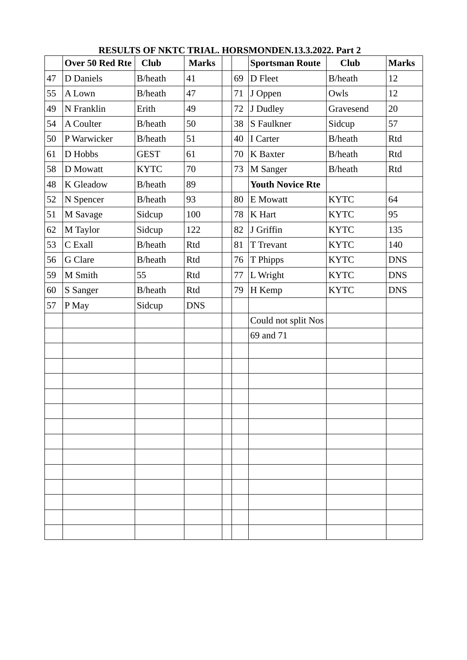|    | Over 50 Red Rte | <b>Club</b>     | <b>Marks</b> |    | <b>Sportsman Route</b>  | <b>Club</b>     | <b>Marks</b> |
|----|-----------------|-----------------|--------------|----|-------------------------|-----------------|--------------|
| 47 | D Daniels       | <b>B</b> /heath | 41           | 69 | D Fleet                 | <b>B</b> /heath | 12           |
| 55 | A Lown          | B/heath         | 47           | 71 | J Oppen                 | Owls            | 12           |
| 49 | N Franklin      | Erith           | 49           | 72 | J Dudley                | Gravesend       | 20           |
| 54 | A Coulter       | B/heath         | 50           | 38 | S Faulkner              | Sidcup          | 57           |
| 50 | P Warwicker     | B/heath         | 51           | 40 | I Carter                | B/heath         | Rtd          |
| 61 | D Hobbs         | <b>GEST</b>     | 61           | 70 | K Baxter                | B/heath         | Rtd          |
| 58 | D Mowatt        | <b>KYTC</b>     | 70           | 73 | M Sanger                | B/heath         | Rtd          |
| 48 | K Gleadow       | B/heath         | 89           |    | <b>Youth Novice Rte</b> |                 |              |
| 52 | N Spencer       | B/heath         | 93           | 80 | <b>E</b> Mowatt         | <b>KYTC</b>     | 64           |
| 51 | M Savage        | Sidcup          | 100          | 78 | K Hart                  | <b>KYTC</b>     | 95           |
| 62 | M Taylor        | Sidcup          | 122          | 82 | J Griffin               | <b>KYTC</b>     | 135          |
| 53 | C Exall         | B/heath         | Rtd          | 81 | T Trevant               | <b>KYTC</b>     | 140          |
| 56 | G Clare         | B/heath         | Rtd          | 76 | T Phipps                | <b>KYTC</b>     | <b>DNS</b>   |
| 59 | M Smith         | 55              | Rtd          | 77 | L Wright                | <b>KYTC</b>     | <b>DNS</b>   |
| 60 | S Sanger        | B/heath         | Rtd          | 79 | H Kemp                  | <b>KYTC</b>     | <b>DNS</b>   |
| 57 | P May           | Sidcup          | <b>DNS</b>   |    |                         |                 |              |
|    |                 |                 |              |    | Could not split Nos     |                 |              |
|    |                 |                 |              |    | 69 and 71               |                 |              |
|    |                 |                 |              |    |                         |                 |              |
|    |                 |                 |              |    |                         |                 |              |
|    |                 |                 |              |    |                         |                 |              |
|    |                 |                 |              |    |                         |                 |              |
|    |                 |                 |              |    |                         |                 |              |
|    |                 |                 |              |    |                         |                 |              |
|    |                 |                 |              |    |                         |                 |              |
|    |                 |                 |              |    |                         |                 |              |
|    |                 |                 |              |    |                         |                 |              |
|    |                 |                 |              |    |                         |                 |              |
|    |                 |                 |              |    |                         |                 |              |
|    |                 |                 |              |    |                         |                 |              |
|    |                 |                 |              |    |                         |                 |              |

 **RESULTS OF NKTC TRIAL. HORSMONDEN.13.3.2022. Part 2**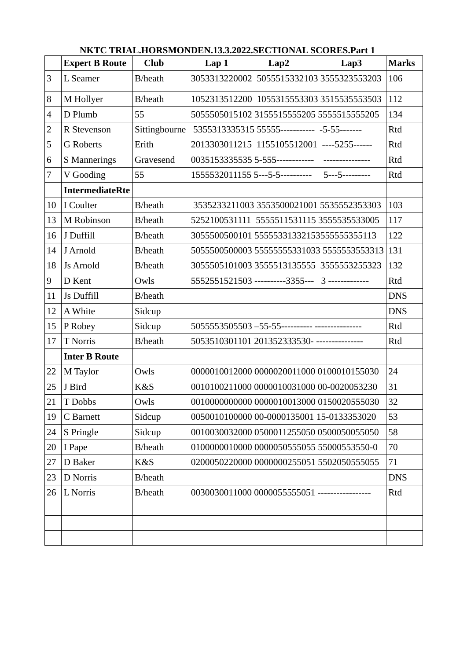|                | <b>Expert B Route</b>  | <b>Club</b>     | Lap1 | Lap2                                            | Lap3                                        | <b>Marks</b> |
|----------------|------------------------|-----------------|------|-------------------------------------------------|---------------------------------------------|--------------|
| 3              | L Seamer               | B/heath         |      | 3053313220002 5055515332103 3555323553203       |                                             | 106          |
| 8              | M Hollyer              | B/heath         |      | 1052313512200 1055315553303 35155355555503      |                                             | 112          |
| $\overline{4}$ | D Plumb                | 55              |      | 5055505015102 3155515555205 5555515555205       |                                             | 134          |
| $\overline{2}$ | R Stevenson            | Sittingbourne   |      | 5355313335315 55555----------- -5-55-------     |                                             | Rtd          |
| 5              | <b>G</b> Roberts       | Erith           |      | 2013303011215 1155105512001 ----5255------      |                                             | Rtd          |
| 6              | S Mannerings           | Gravesend       |      |                                                 |                                             | Rtd          |
| 7              | V Gooding              | 55              |      |                                                 |                                             | Rtd          |
|                | <b>IntermediateRte</b> |                 |      |                                                 |                                             |              |
| 10             | I Coulter              | B/heath         |      | 3535233211003 3553500021001 5535552353303       |                                             | 103          |
| 13             | M Robinson             | B/heath         |      | 5252100531111 5555511531115 3555535533005       |                                             | 117          |
| 16             | J Duffill              | <b>B</b> /heath |      | 3055500500101 555553313321535555555555113       |                                             | 122          |
| 14             | J Arnold               | B/heath         |      |                                                 | 5055500500003 55555555331033 55555555353313 | 131          |
| 18             | <b>Js Arnold</b>       | B/heath         |      | 3055505101003 3555513135555 3555553255323       |                                             | 132          |
| 9              | D Kent                 | Owls            |      | 5552551521503 ----------3355--- 3 ------------- |                                             | Rtd          |
| 11             | Js Duffill             | B/heath         |      |                                                 |                                             | <b>DNS</b>   |
| 12             | A White                | Sidcup          |      |                                                 |                                             | <b>DNS</b>   |
| 15             | P Robey                | Sidcup          |      |                                                 |                                             | Rtd          |
| 17             | <b>T</b> Norris        | B/heath         |      | 5053510301101 201352333530- ---------------     |                                             | Rtd          |
|                | <b>Inter B Route</b>   |                 |      |                                                 |                                             |              |
| 22             | M Taylor               | Owls            |      | 0000010012000 0000020011000 0100010155030       |                                             | 24           |
| 25             | J Bird                 | K&S             |      | 0010100211000 0000010031000 00-0020053230       |                                             | 31           |
| 21             | T Dobbs                | Owls            |      | 0010000000000 0000010013000 0150020555030       |                                             | 32           |
| 19             | C Barnett              | Sidcup          |      | 0050010100000 00-0000135001 15-0133353020       |                                             | 53           |
| 24             | S Pringle              | Sidcup          |      | 0010030032000 0500011255050 0500050055050       |                                             | 58           |
| 20             | I Pape                 | B/heath         |      | 0100000010000 0000050555055 55000553550-0       |                                             | 70           |
| 27             | D Baker                | K&S             |      | 0200050220000 0000000255051 5502050555055       |                                             | 71           |
| 23             | D Norris               | B/heath         |      |                                                 |                                             | <b>DNS</b>   |
| 26             | L Norris               | B/heath         |      | 0030030011000 0000055555051 -----------------   |                                             | Rtd          |
|                |                        |                 |      |                                                 |                                             |              |
|                |                        |                 |      |                                                 |                                             |              |
|                |                        |                 |      |                                                 |                                             |              |

 **NKTC TRIAL.HORSMONDEN.13.3.2022.SECTIONAL SCORES.Part 1**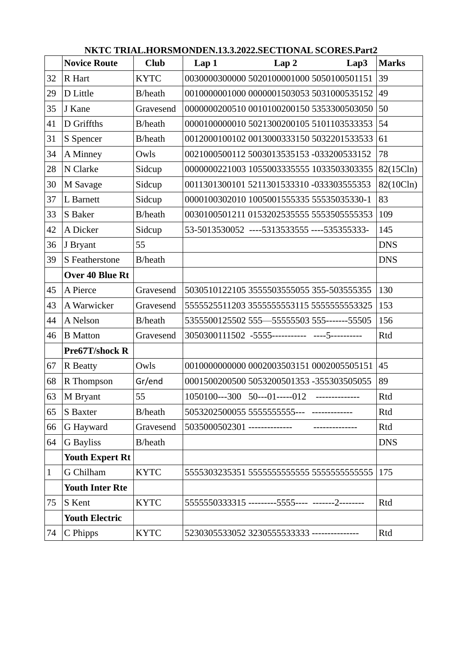|              | <b>Novice Route</b>    | <b>Club</b>     | Lap1                         | Lap2                                             | Lap3            | <b>Marks</b> |
|--------------|------------------------|-----------------|------------------------------|--------------------------------------------------|-----------------|--------------|
| 32           | R Hart                 | <b>KYTC</b>     |                              | 0030000300000 5020100001000 5050100501151        |                 | 39           |
| 29           | D Little               | B/heath         |                              | 0010000001000 0000001503053 5031000535152        |                 | 49           |
| 35           | J Kane                 | Gravesend       |                              | 0000000200510 0010100200150 5353300503050        |                 | 50           |
| 41           | D Griffths             | <b>B</b> /heath |                              | 0000100000010 5021300200105 5101103533353        |                 | 54           |
| 31           | S Spencer              | B/heath         |                              | 0012000100102 0013000333150 5032201533533        |                 | 61           |
| 34           | A Minney               | Owls            |                              | 0021000500112 5003013535153 -033200533152        |                 | 78           |
| 28           | N Clarke               | Sidcup          |                              | 0000000221003 1055003335555 1033503303355        |                 | 82(15Cln)    |
| 30           | M Savage               | Sidcup          |                              | 0011301300101 5211301533310 -033303555353        |                 | 82(10Cln)    |
| 37           | L Barnett              | Sidcup          |                              | 0000100302010 1005001555335 55535035330-1        |                 | 83           |
| 33           | S Baker                | <b>B</b> /heath |                              | 0030100501211 0153202535555 55535055553535       |                 | 109          |
| 42           | A Dicker               | Sidcup          |                              | 53-5013530052 ----5313533555 ----535355333-      |                 | 145          |
| 36           | J Bryant               | 55              |                              |                                                  |                 | <b>DNS</b>   |
| 39           | S Featherstone         | <b>B</b> /heath |                              |                                                  |                 | <b>DNS</b>   |
|              | Over 40 Blue Rt        |                 |                              |                                                  |                 |              |
| 45           | A Pierce               | Gravesend       |                              | 5030510122105 3555503555055 355-503555355        |                 | 130          |
| 43           | A Warwicker            | Gravesend       |                              | 5555525511203 3555555553115 5555555553325        |                 | 153          |
| 44           | A Nelson               | B/heath         |                              | 5355500125502 555—55555503 555-------55505       |                 | 156          |
| 46           | <b>B</b> Matton        | Gravesend       |                              | 3050300111502 -5555----------- ----5----------   |                 | Rtd          |
|              | Pre67T/shock R         |                 |                              |                                                  |                 |              |
| 67           | R Beatty               | Owls            |                              | 0010000000000 0002003503151 0002005505151        |                 | 45           |
| 68           | R Thompson             | Gr/end          |                              | 0001500200500 5053200501353 -355303505055        |                 | 89           |
| 63           | M Bryant               | 55              |                              | $1050100---300$ 50---01-----012                  | --------------- | Rtd          |
| 65           | S Baxter               | B/heath         |                              |                                                  |                 | Rtd          |
| 66           | G Hayward              | Gravesend       | 5035000502301 -------------- |                                                  |                 | Rtd          |
| 64           | <b>G</b> Bayliss       | B/heath         |                              |                                                  |                 | <b>DNS</b>   |
|              | <b>Youth Expert Rt</b> |                 |                              |                                                  |                 |              |
| $\mathbf{1}$ | G Chilham              | <b>KYTC</b>     |                              |                                                  |                 | 175          |
|              | <b>Youth Inter Rte</b> |                 |                              |                                                  |                 |              |
| 75           | S Kent                 | <b>KYTC</b>     |                              | 5555550333315 ---------5555---- -------2-------- |                 | Rtd          |
|              | <b>Youth Electric</b>  |                 |                              |                                                  |                 |              |
| 74           | C Phipps               | <b>KYTC</b>     |                              | 5230305533052 3230555533333 ---------------      |                 | Rtd          |

 **NKTC TRIAL.HORSMONDEN.13.3.2022.SECTIONAL SCORES.Part2**